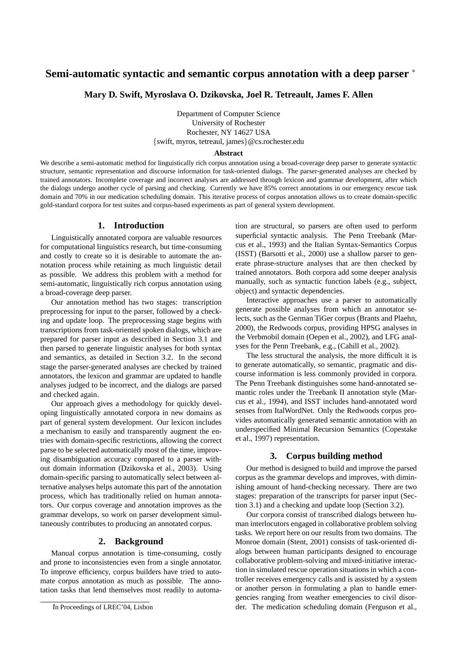# **Semi-automatic syntactic and semantic corpus annotation with a deep parser** <sup>∗</sup>

**Mary D. Swift, Myroslava O. Dzikovska, Joel R. Tetreault, James F. Allen**

Department of Computer Science University of Rochester Rochester, NY 14627 USA {swift, myros, tetreaul, james}@cs.rochester.edu

#### **Abstract**

We describe a semi-automatic method for linguistically rich corpus annotation using a broad-coverage deep parser to generate syntactic structure, semantic representation and discourse information for task-oriented dialogs. The parser-generated analyses are checked by trained annotators. Incomplete coverage and incorrect analyses are addressed through lexicon and grammar development, after which the dialogs undergo another cycle of parsing and checking. Currently we have 85% correct annotations in our emergency rescue task domain and 70% in our medication scheduling domain. This iterative process of corpus annotation allows us to create domain-specific gold-standard corpora for test suites and corpus-based experiments as part of general system development.

## **1. Introduction**

Linguistically annotated corpora are valuable resources for computational linguistics research, but time-consuming and costly to create so it is desirable to automate the annotation process while retaining as much linguistic detail as possible. We address this problem with a method for semi-automatic, linguistically rich corpus annotation using a broad-coverage deep parser.

Our annotation method has two stages: transcription preprocessing for input to the parser, followed by a checking and update loop. The preprocessing stage begins with transcriptions from task-oriented spoken dialogs, which are prepared for parser input as described in Section 3.1 and then parsed to generate linguistic analyses for both syntax and semantics, as detailed in Section 3.2. In the second stage the parser-generated analyses are checked by trained annotators, the lexicon and grammar are updated to handle analyses judged to be incorrect, and the dialogs are parsed and checked again.

Our approach gives a methodology for quickly developing linguistically annotated corpora in new domains as part of general system development. Our lexicon includes a mechanism to easily and transparently augment the entries with domain-specific restrictions, allowing the correct parse to be selected automatically most of the time, improving disambiguation accuracy compared to a parser without domain information (Dzikovska et al., 2003). Using domain-specific parsing to automatically select between alternative analyses helps automate this part of the annotation process, which has traditionally relied on human annotators. Our corpus coverage and annotation improves as the grammar develops, so work on parser development simultaneously contributes to producing an annotated corpus.

## **2. Background**

Manual corpus annotation is time-consuming, costly and prone to inconsistencies even from a single annotator. To improve efficiency, corpus builders have tried to automate corpus annotation as much as possible. The annotation tasks that lend themselves most readily to automation are structural, so parsers are often used to perform superficial syntactic analysis. The Penn Treebank (Marcus et al., 1993) and the Italian Syntax-Semantics Corpus (ISST) (Barsotti et al., 2000) use a shallow parser to generate phrase-structure analyses that are then checked by trained annotators. Both corpora add some deeper analysis manually, such as syntactic function labels (e.g., subject, object) and syntactic dependencies.

Interactive approaches use a parser to automatically generate possible analyses from which an annotator selects, such as the German TiGer corpus (Brants and Plaehn, 2000), the Redwoods corpus, providing HPSG analyses in the Verbmobil domain (Oepen et al., 2002), and LFG analyses for the Penn Treebank, e.g., (Cahill et al., 2002).

The less structural the analysis, the more difficult it is to generate automatically, so semantic, pragmatic and discourse information is less commonly provided in corpora. The Penn Treebank distinguishes some hand-annotated semantic roles under the Treebank II annotation style (Marcus et al., 1994), and ISST includes hand-annotated word senses from ItalWordNet. Only the Redwoods corpus provides automatically generated semantic annotation with an underspecified Minimal Recursion Semantics (Copestake et al., 1997) representation.

#### **3. Corpus building method**

Our method is designed to build and improve the parsed corpus as the grammar develops and improves, with diminishing amount of hand-checking necessary. There are two stages: preparation of the transcripts for parser input (Section 3.1) and a checking and update loop (Section 3.2).

Our corpora consist of transcribed dialogs between human interlocutors engaged in collaborative problem solving tasks. We report here on our results from two domains. The Monroe domain (Stent, 2001) consists of task-oriented dialogs between human participants designed to encourage collaborative problem-solving and mixed-initiative interaction in simulated rescue operation situations in which a controller receives emergency calls and is assisted by a system or another person in formulating a plan to handle emergencies ranging from weather emergencies to civil disorder. The medication scheduling domain (Ferguson et al.,

<sup>∗</sup> In Proceedings of LREC'04, Lisbon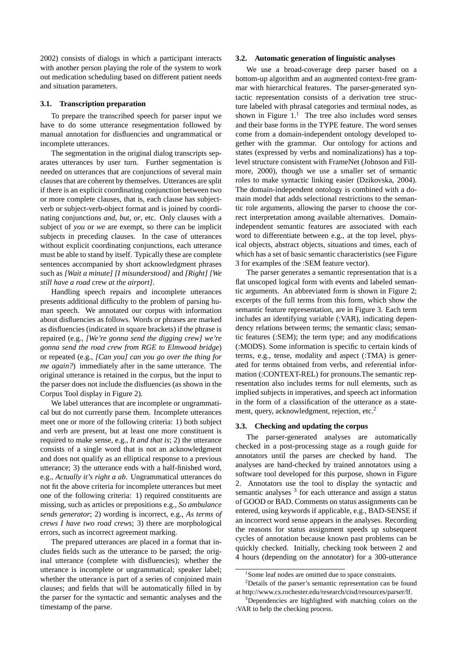2002) consists of dialogs in which a participant interacts with another person playing the role of the system to work out medication scheduling based on different patient needs and situation parameters.

#### **3.1. Transcription preparation**

To prepare the transcribed speech for parser input we have to do some utterance resegmentation followed by manual annotation for disfluencies and ungrammatical or incomplete utterances.

The segmentation in the original dialog transcripts separates utterances by user turn. Further segmentation is needed on utterances that are conjunctions of several main clauses that are coherent by themselves. Utterances are split if there is an explicit coordinating conjunction between two or more complete clauses, that is, each clause has subjectverb or subject-verb-object format and is joined by coordinating conjunctions *and*, *but*, *or*, etc. Only clauses with a subject of *you* or *we* are exempt, so there can be implicit subjects in preceding clauses. In the case of utterances without explicit coordinating conjunctions, each utterance must be able to stand by itself. Typically these are complete sentences accompanied by short acknowledgment phrases such as *[Wait a minute] [I misunderstood]* and *[Right] [We still have a road crew at the airport]*.

Handling speech repairs and incomplete utterances presents additional difficulty to the problem of parsing human speech. We annotated our corpus with information about disfluencies as follows. Words or phrases are marked as disfluencies (indicated in square brackets) if the phrase is repaired (e.g., *[We're gonna send the digging crew] we're gonna send the road crew from RGE to Elmwood bridge*) or repeated (e.g., *[Can you] can you go over the thing for me again?*) immediately after in the same utterance. The original utterance is retained in the corpus, but the input to the parser does not include the disfluencies (as shown in the Corpus Tool display in Figure 2).

We label utterances that are incomplete or ungrammatical but do not currently parse them. Incomplete utterances meet one or more of the following criteria: 1) both subject and verb are present, but at least one more constituent is required to make sense, e.g., *It and that is*; 2) the utterance consists of a single word that is not an acknowledgment and does not qualify as an elliptical response to a previous utterance; 3) the utterance ends with a half-finished word, e.g., *Actually it's right a ab*. Ungrammatical utterances do not fit the above criteria for incomplete utterances but meet one of the following criteria: 1) required constituents are missing, such as articles or prepositions e.g., *So ambulance sends generator*; 2) wording is incorrect, e.g., *As terms of crews I have two road crews*; 3) there are morphological errors, such as incorrect agreement marking.

The prepared utterances are placed in a format that includes fields such as the utterance to be parsed; the original utterance (complete with disfluencies); whether the utterance is incomplete or ungrammatical; speaker label; whether the utterance is part of a series of conjoined main clauses; and fields that will be automatically filled in by the parser for the syntactic and semantic analyses and the timestamp of the parse.

#### **3.2. Automatic generation of linguistic analyses**

We use a broad-coverage deep parser based on a bottom-up algorithm and an augmented context-free grammar with hierarchical features. The parser-generated syntactic representation consists of a derivation tree structure labeled with phrasal categories and terminal nodes, as shown in Figure  $1<sup>1</sup>$ . The tree also includes word senses and their base forms in the TYPE feature. The word senses come from a domain-independent ontology developed together with the grammar. Our ontology for actions and states (expressed by verbs and nominalizations) has a toplevel structure consistent with FrameNet (Johnson and Fillmore, 2000), though we use a smaller set of semantic roles to make syntactic linking easier (Dzikovska, 2004). The domain-independent ontology is combined with a domain model that adds selectional restrictions to the semantic role arguments, allowing the parser to choose the correct interpretation among available alternatives. Domainindependent semantic features are associated with each word to differentiate between e.g., at the top level, physical objects, abstract objects, situations and times, each of which has a set of basic semantic characteristics (see Figure 3 for examples of the :SEM feature vector).

The parser generates a semantic representation that is a flat unscoped logical form with events and labeled semantic arguments. An abbreviated form is shown in Figure 2; excerpts of the full terms from this form, which show the semantic feature representation, are in Figure 3. Each term includes an identifying variable (:VAR), indicating dependency relations between terms; the semantic class; semantic features (:SEM); the term type; and any modifications (:MODS). Some information is specific to certain kinds of terms, e.g., tense, modality and aspect (:TMA) is generated for terms obtained from verbs, and referential information (:CONTEXT-REL) for pronouns.The semantic representation also includes terms for null elements, such as implied subjects in imperatives, and speech act information in the form of a classification of the utterance as a statement, query, acknowledgment, rejection, etc.<sup>2</sup>

#### **3.3. Checking and updating the corpus**

The parser-generated analyses are automatically checked in a post-processing stage as a rough guide for annotators until the parses are checked by hand. The analyses are hand-checked by trained annotators using a software tool developed for this purpose, shown in Figure 2. Annotators use the tool to display the syntactic and semantic analyses  $3$  for each utterance and assign a status of GOOD or BAD. Comments on status assignments can be entered, using keywords if applicable, e.g., BAD-SENSE if an incorrect word sense appears in the analyses. Recording the reasons for status assignment speeds up subsequent cycles of annotation because known past problems can be quickly checked. Initially, checking took between 2 and 4 hours (depending on the annotator) for a 300-utterance

<sup>&</sup>lt;sup>1</sup>Some leaf nodes are omitted due to space constraints.

<sup>&</sup>lt;sup>2</sup>Details of the parser's semantic representation can be found at http://www.cs.rochester.edu/research/cisd/resources/parser/lf.

<sup>&</sup>lt;sup>3</sup>Dependencies are highlighted with matching colors on the :VAR to help the checking process.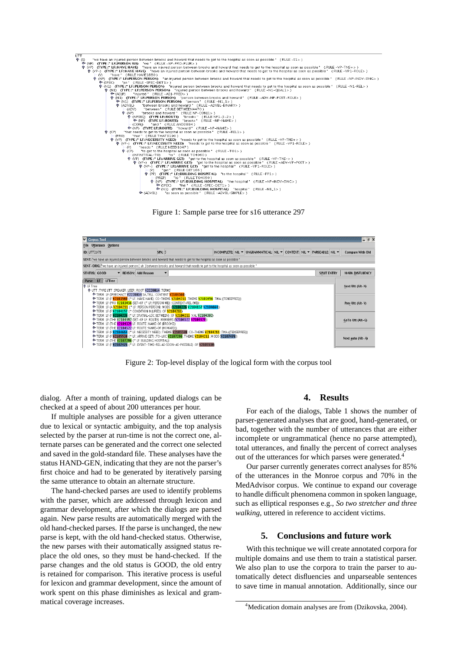

Figure 1: Sample parse tree for s16 utterance 297



Figure 2: Top-level display of the logical form with the corpus tool

dialog. After a month of training, updated dialogs can be checked at a speed of about 200 utterances per hour.

If multiple analyses are possible for a given utterance due to lexical or syntactic ambiguity, and the top analysis selected by the parser at run-time is not the correct one, alternate parses can be generated and the correct one selected and saved in the gold-standard file. These analyses have the status HAND-GEN, indicating that they are not the parser's first choice and had to be generated by iteratively parsing the same utterance to obtain an alternate structure.

The hand-checked parses are used to identify problems with the parser, which are addressed through lexicon and grammar development, after which the dialogs are parsed again. New parse results are automatically merged with the old hand-checked parses. If the parse is unchanged, the new parse is kept, with the old hand-checked status. Otherwise, the new parses with their automatically assigned status replace the old ones, so they must be hand-checked. If the parse changes and the old status is GOOD, the old entry is retained for comparison. This iterative process is useful for lexicon and grammar development, since the amount of work spent on this phase diminishes as lexical and grammatical coverage increases.

# **4. Results**

For each of the dialogs, Table 1 shows the number of parser-generated analyses that are good, hand-generated, or bad, together with the number of utterances that are either incomplete or ungrammatical (hence no parse attempted), total utterances, and finally the percent of correct analyses out of the utterances for which parses were generated.<sup>4</sup>

Our parser currently generates correct analyses for 85% of the utterances in the Monroe corpus and 70% in the MedAdvisor corpus. We continue to expand our coverage to handle difficult phenomena common in spoken language, such as elliptical responses e.g., *So two stretcher and three walking*, uttered in reference to accident victims.

# **5. Conclusions and future work**

With this technique we will create annotated corpora for multiple domains and use them to train a statistical parser. We also plan to use the corpora to train the parser to automatically detect disfluencies and unparseable sentences to save time in manual annotation. Additionally, since our

<sup>&</sup>lt;sup>4</sup>Medication domain analyses are from (Dzikovska, 2004).